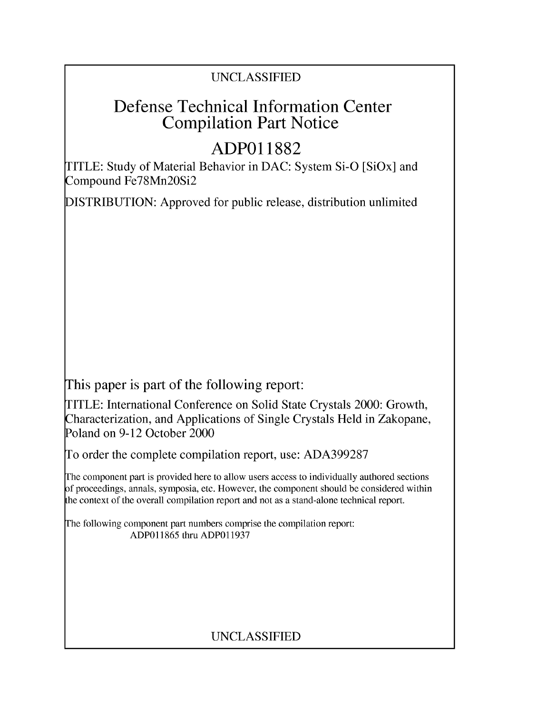# UNCLASSIFIED

# Defense Technical Information Center Compilation Part Notice

# **ADPO1 1882**

TITLE: Study of Material Behavior in DAC: System Si-O [SiOx] and Compound Fe78Mn2OSi2

DISTRIBUTION: Approved for public release, distribution unlimited

This paper is part of the following report:

TITLE: International Conference on Solid State Crystals 2000: Growth, Characterization, and Applications of Single Crystals Held in Zakopane, Poland on 9-12 October 2000

To order the complete compilation report, use: ADA399287

The component part is provided here to allow users access to individually authored sections f proceedings, annals, symposia, etc. However, the component should be considered within [he context of the overall compilation report and not as a stand-alone technical report.

The following component part numbers comprise the compilation report: ADP011865 thru ADP011937

# UNCLASSIFIED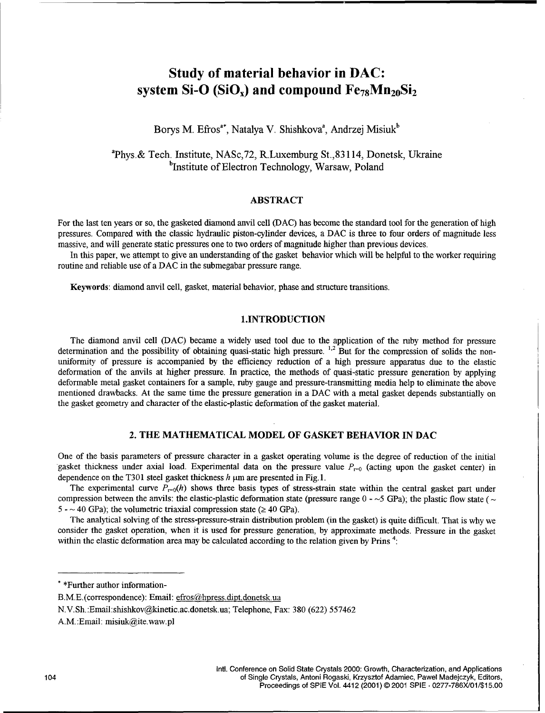## Study of material behavior in **DAC:** system Si-O (SiO<sub>x</sub>) and compound  $Fe_{78}Mn_{20}Si_2$

## Borys M. Efros<sup>a\*</sup>, Natalya V. Shishkova<sup>a</sup>, Andrzej Misiuk<sup>b</sup>

aPhys.& Tech. Institute, NASc,72, R.Luxemburg St.,83114, Donetsk, Ukraine <sup>b</sup>Institute of Electron Technology, Warsaw, Poland

### ABSTRACT

For the last ten years or so, the gasketed diamond anvil cell (DAC) has become the standard tool for the generation of high pressures. Compared with the classic hydraulic piston-cylinder devices, a DAC is three to four orders of magnitude less massive, and will generate static pressures one to two orders of magnitude higher than previous devices.

In this paper, we attempt to give an understanding of the gasket behavior which will be helpful to the worker requiring routine and reliable use of a DAC in the submegabar pressure range.

Keywords: diamond anvil cell, gasket, material behavior, phase and structure transitions.

### **1.INTRODUCTION**

The diamond anvil cell (DAC) became a widely used tool due to the application of the ruby method for pressure determination and the possibility of obtaining quasi-static high pressure.  $1,2$  But for the compression of solids the nonuniformity of pressure is accompanied by the efficiency reduction of a high pressure apparatus due to the elastic deformation of the anvils at higher pressure. In practice, the methods of quasi-static pressure generation by applying deformable metal gasket containers for a sample, ruby gauge and pressure-transmitting media help to eliminate the above mentioned drawbacks. At the same time the pressure generation in a DAC with a metal gasket depends substantially on the gasket geometry and character of the elastic-plastic deformation of the gasket material.

#### 2. THE **MATHEMATICAL** MODEL OF **GASKET** BEHAVIOR **IN DAC**

One of the basis parameters of pressure character in a gasket operating volume is the degree of reduction of the initial gasket thickness under axial load. Experimental data on the pressure value  $P_{\text{r=0}}$  (acting upon the gasket center) in dependence on the T301 steel gasket thickness  $h \mu m$  are presented in Fig. 1.

The experimental curve  $P_{\text{r=0}}(h)$  shows three basis types of stress-strain state within the central gasket part under compression between the anvils: the elastic-plastic deformation state (pressure range  $0 - 5$  GPa); the plastic flow state ( $\sim$  $5 - \sim 40$  GPa); the volumetric triaxial compression state ( $\geq 40$  GPa).

The analytical solving of the stress-pressure-strain distribution problem (in the gasket) is quite difficult. That is why we consider the gasket operation, when it is used for pressure generation, by approximate methods. Pressure in the gasket within the elastic deformation area may be calculated according to the relation given by Prins  $4$ :

<sup>\* \*</sup>Further author information-

B.M.E. (correspondence): Email: efros@hpress.dipt.donetsk.ua

**N.V.** Sh.:Email:shishkov@kinetic.ac.donetsk.ua; Telephone, Fax: 380 (622) 557462

A.M. :Email: misiuk@ite.waw.pl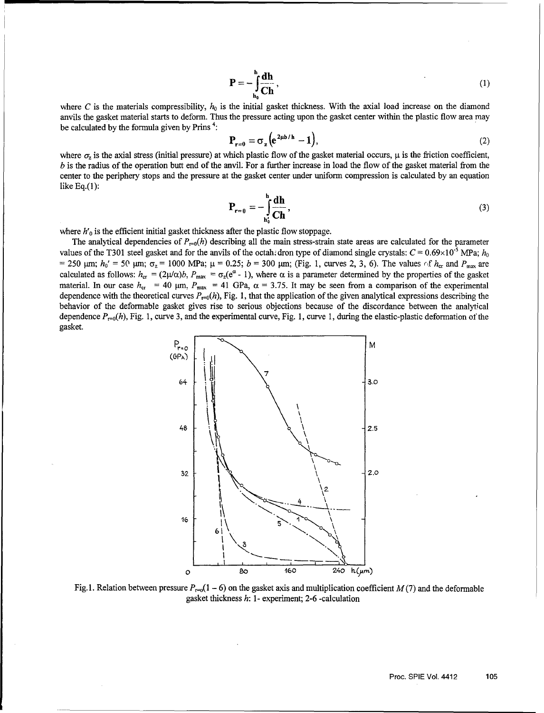$$
\mathbf{P} = -\int_{\mathbf{h}_0}^{\mathbf{h}} \frac{\mathrm{d}\mathbf{h}}{\mathrm{C}\mathbf{h}},\tag{1}
$$

where C is the materials compressibility,  $h_0$  is the initial gasket thickness. With the axial load increase on the diamond anvils the gasket material starts to deform. Thus the pressure acting upon the gasket center within the plastic flow area may be calculated by the formula given by Prins<sup> $4$ </sup>:

$$
\mathbf{P}_{r=0} = \sigma_z \left( e^{2\mu b/h} - 1 \right),\tag{2}
$$

where  $\sigma$ , is the axial stress (initial pressure) at which plastic flow of the gasket material occurs,  $\mu$  is the friction coefficient, *b* is the radius of the operation butt end of the anvil. For a further increase in load the flow of the gasket material from the center to the periphery stops and the pressure at the gasket center under uniform compression is calculated by an equation like Eq.(1):

$$
\mathbf{P}_{\mathbf{r}=0} = -\int_{\mathbf{h}_0'}^{\mathbf{h}} \frac{\mathrm{d}\mathbf{h}}{\mathrm{d}\mathbf{h}},\tag{3}
$$

where  $h'$ <sub>0</sub> is the efficient initial gasket thickness after the plastic flow stoppage.

The analytical dependencies of  $P_{\text{r=0}}(h)$  describing all the main stress-strain state areas are calculated for the parameter values of the T301 steel gasket and for the anvils of the octah.dron type of diamond single crystals:  $C = 0.69 \times 10^{-5}$  MPa;  $h_0$  $= 250$  pm;  $h_0' = 50$  pm;  $\sigma_z = 1000$  MPa;  $\mu = 0.25$ ;  $b = 300$  pm; (Fig. 1, curves 2, 3, 6). The values of  $h_{cr}$  and  $P_{max}$  are calculated as follows:  $h_{cr} = (2\mu/\alpha)b$ ,  $P_{max} = \sigma_z(e^{\alpha} - 1)$ , where  $\alpha$  is a parameter determined by the properties of the gasket material. In our case  $h_{cr} = 40 \mu m$ ,  $P_{max} = 41 \text{ GPa}$ ,  $\alpha = 3.75$ . It may be seen from a comparison of the experimental dependence with the theoretical curves  $P_{\text{reo}}(h)$ , Fig. 1, that the application of the given analytical expressions describing the behavior of the deformable gasket gives rise to serious objections because of the discordance between the analytical dependence  $P_{r=0}(h)$ , Fig. 1, curve 3, and the experimental curve, Fig. 1, curve 1, during the elastic-plastic deformation of the gasket.



Fig. 1. Relation between pressure  $P_{r=0}(1 - 6)$  on the gasket axis and multiplication coefficient  $M(7)$  and the deformable gasket thickness  $h$ : 1- experiment; 2-6 -calculation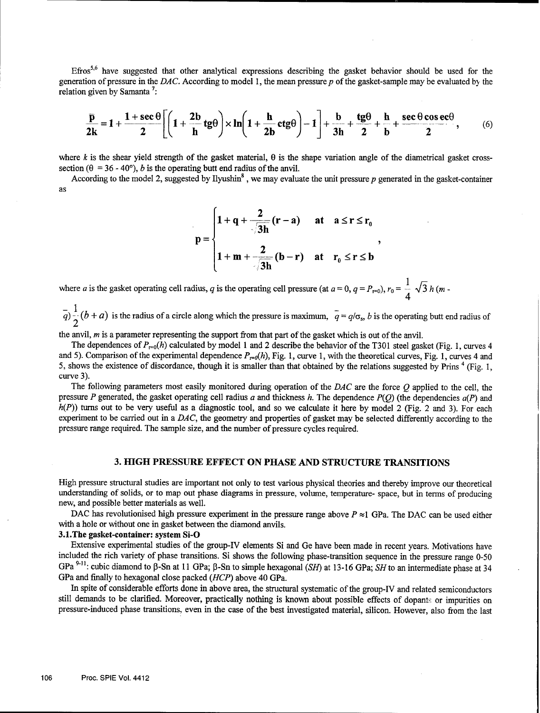Efros<sup>5,6</sup> have suggested that other analytical expressions describing the gasket behavior should be used for the generation of pressure in the *DAC*. According to model 1, the mean pressure p of the gasket-sample may be evaluated by the relation given by Samanta<sup>7</sup>:

$$
\frac{\overline{p}}{2k} = 1 + \frac{1 + \sec \theta}{2} \left[ \left( 1 + \frac{2b}{h} \, \text{tg}\theta \right) \times \ln \left( 1 + \frac{h}{2b} \, \text{ctg}\theta \right) - 1 \right] + \frac{b}{3h} + \frac{\text{tg}\theta}{2} + \frac{h}{b} + \frac{\sec \theta \cos \text{ec}\theta}{2},\qquad (6)
$$

where k is the shear yield strength of the gasket material,  $\theta$  is the shape variation angle of the diametrical gasket crosssection ( $\theta = 36 - 40^{\circ}$ ), *b* is the operating butt end radius of the anvil.

According to the model 2, suggested by Ilyushin<sup>8</sup>, we may evaluate the unit pressure p generated in the gasket-container as

$$
p = \begin{cases} 1 + q + \frac{2}{\sqrt{3h}}(r - a) & \text{at } a \leq r \leq r_0 \\ 1 + m + \frac{2}{\sqrt{3h}}(b - r) & \text{at } r_0 \leq r \leq b \end{cases}
$$

**- 1**  $\overline{q}$ )  $\overline{q}$  ( $b + a$ ) is the radius of a circle along which the pressure is maximum,  $\overline{q} = q/\sigma_s$ , b is the operating butt end radius of 2

the anvil, *m* is a parameter representing the support from that part of the gasket which is out of the anvil.

The dependences of  $P_{r=0}(h)$  calculated by model 1 and 2 describe the behavior of the T301 steel gasket (Fig. 1, curves 4 and 5). Comparison of the experimental dependence  $P_{\text{ref}}(h)$ , Fig. 1, curve 1, with the theoretical curves, Fig. 1, curves 4 and 5, shows the existence of discordance, though it is smaller than that obtained by the relations suggested by Prins  $4$  (Fig. 1, curve 3).

The following parameters most easily monitored during operation of the *DAC* are the force **Q** applied to the cell, the pressure P generated, the gasket operating cell radius a and thickness h. The dependence  $P(Q)$  (the dependencies  $a(P)$  and  $h(P)$ ) turns out to be very useful as a diagnostic tool, and so we calculate it here by model 2 (Fig. 2 and 3). For each experiment to be carried out in a *DAC,* the geometry and properties of gasket may be selected differently according to the pressure range required. The sample size, and the number of pressure cycles required.

#### **3. HIGH** PRESSURE **EFFECT ON PHASE AND STRUCTURE TRANSITIONS**

High pressure structural studies are important not only to test various physical theories and thereby improve our theoretical understanding of solids, or to map out phase diagrams in pressure, volume, temperature- space, but in terms of producing new, and possible better materials as well.

DAC has revolutionised high pressure experiment in the pressure range above  $P \approx 1$  GPa. The DAC can be used either with a hole or without one in gasket between the diamond anvils.

#### 3.1.The gasket-container: system Si-O

Extensive experimental studies of the group-IV elements Si and Ge have been made in recent years. Motivations have included the rich variety of phase transitions. Si shows the following phase-transition sequence in the pressure range **0-50** GPa<sup>9-11</sup>: cubic diamond to β-Sn at 11 GPa; β-Sn to simple hexagonal (SH) at 13-16 GPa; SH to an intermediate phase at 34 GPa and finally to hexagonal close packed *(HCP)* above 40 GPa.

In spite of considerable efforts done in above area, the structural systematic of the group-IV and related semiconductors still demands to be clarified. Moreover, practically nothing is known about possible effects of dopants or impurities on pressure-induced phase transitions, even in the case of the best investigated material, silicon. However, also from the last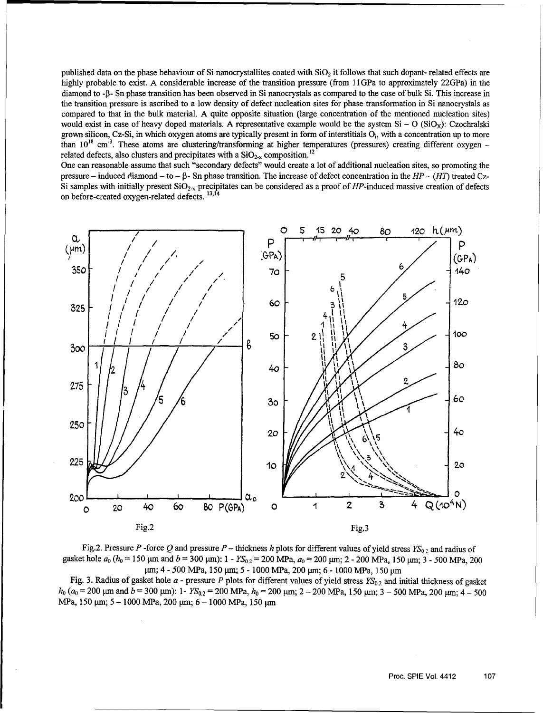published data on the phase behaviour of Si nanocrystallites coated with  $SiO<sub>2</sub>$  it follows that such dopant- related effects are highly probable to exist. A considerable increase of the transition pressure (from 11GPa to approximately 22GPa) in the diamond to - $\beta$ - Sn phase transition has been observed in Si nanocrystals as compared to the case of bulk Si. This increase in the transition pressure is ascribed to a low density of defect nucleation sites for phase transformation in Si nanocrystals as compared to that in the bulk material. A quite opposite situation (large concentration of the mentioned nucleation sites) would exist in case of heavy doped materials. A representative example would be the system  $Si - O(SiO<sub>x</sub>)$ : Czochralski grown silicon, Cz-Si, in which oxygen atoms are typically present in form of interstitials O<sub>i</sub>, with a concentration up to more than 10<sup>18</sup> cm<sup>-3</sup>. These atoms are clustering/transforming at higher temperatures (pressures) creating different oxygen  $r_{\text{e}}$  and the contract and precipitates with a  $\text{SiO}_{2-x}$  composition.<sup>12</sup>

One can reasonable assume that such "secondary defects" would create a lot of additional nucleation sites, so promoting the pressure - induced diamond - to - **P3-** Sn phase transition. The increase of defect concentration in the *HP- (HT)* treated Cz-Si samples with initially present  $SiO_{2-x}$  precipitates can be considered as a proof of HP-induced massive creation of defects on before-created oxygen-related defects.<sup>13,14</sup>



Fig.2. Pressure P -force Q and pressure P - thickness h plots for different values of yield stress  $YS_{0.2}$  and radius of gasket hole  $a_0$  ( $h_0 = 150$  µm and  $b = 300$  µm):  $1 - YS_{0.2} = 200$  MPa,  $a_0 = 200$  µm;  $2 - 200$  MPa,  $150$  µm;  $3 - 500$  MPa,  $200$ *μm; 4 - 500 MPa, 150 μm; 5 - 1000 MPa, 200 μm; 6 - 1000 MPa, 150 μm* 

Fig. 3. Radius of gasket hole  $a$  - pressure P plots for different values of yield stress  $YS_{0.2}$  and initial thickness of gasket *h<sub>0</sub>*  $(a_0 = 200 \text{ µm} \text{ and } b = 300 \text{ µm})$ : 1-  $YS_{0,2} = 200 \text{ MPa}$ ,  $h_0 = 200 \text{ µm}$ ;  $2 - 200 \text{ MPa}$ , 150  $\text{µm}$ ;  $3 - 500 \text{ MPa}$ , 200  $\text{µm}$ ;  $4 - 500$ MPa, 150 µm; 5 - 1000 MPa, 200 µm; 6 - 1000 MPa, 150 µm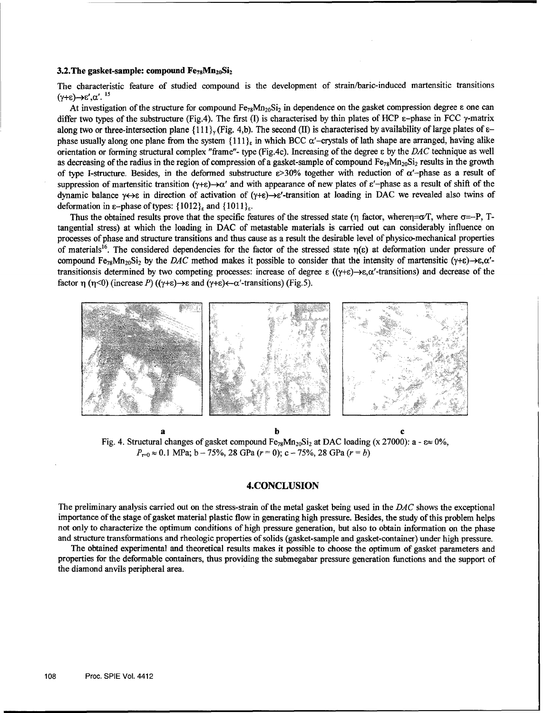#### **3.2. The gasket-sample: compound Fe<sub>78</sub>Mn**<sub>20</sub>Si<sub>2</sub>

The characteristic feature of studied compound is the development of strain/baric-induced martensitic transitions  $(\gamma + \varepsilon) \rightarrow \varepsilon', \alpha'.$ <sup>15</sup>

At investigation of the structure for compound  $Fe_{78}Mn_{20}Si_2$  in dependence on the gasket compression degree  $\varepsilon$  one can differ two types of the substructure (Fig.4). The first (I) is characterised by thin plates of HCP  $\varepsilon$ -phase in FCC  $\gamma$ -matrix along two or three-intersection plane  $\{111\}$ , (Fig. 4,b). The second (II) is characterised by availability of large plates of  $\varepsilon$ phase usually along one plane from the system  $\{111\}$ <sub>is</sub> in which BCC  $\alpha'$ -crystals of lath shape are arranged, having alike orientation or forming structural complex "frame"- type (Fig.4c). Increasing of the degree **E** by the DAC technique as well as decreasing of the radius in the region of compression of a gasket-sample of compound  $Fe_{78}Mn_{20}Si_2$  results in the growth of type I-structure. Besides, in the deformed substructure  $\varepsilon > 30\%$  together with reduction of  $\alpha'$ -phase as a result of suppression of martensitic transition ( $\gamma + \epsilon$ ) $\rightarrow \alpha'$  and with appearance of new plates of  $\epsilon'$ -phase as a result of shift of the dynamic balance  $\gamma \leftrightarrow \epsilon$  in direction of activation of  $(\gamma + \epsilon) \rightarrow \epsilon'$ -transition at loading in DAC we revealed also twins of deformation in  $\varepsilon$ -phase of types:  $\{1012\}_{\varepsilon}$  and  $\{1011\}_{\varepsilon}$ .

Thus the obtained results prove that the specific features of the stressed state ( $\eta$  factor, where $\eta = \alpha T$ , where  $\sigma = -P$ , Ttangential stress) at which the loading in DAC of metastable materials is carried out can considerably influence on processes of phase and structure transitions and thus cause as a result the desirable level of physico-mechanical properties of materials<sup>16</sup>. The considered dependencies for the factor of the stressed state  $\eta(\epsilon)$  at deformation under pressure of compound Fe<sub>78</sub>Mn<sub>20</sub>Si<sub>2</sub> by the *DAC* method makes it possible to consider that the intensity of martensitic ( $\gamma + \varepsilon$ ) $\rightarrow \varepsilon$ , $\alpha'$ transitionsis determined by two competing processes: increase of degree  $\varepsilon$  (( $\gamma + \varepsilon$ ) $\rightarrow \varepsilon$ , $\alpha'$ -transitions) and decrease of the factor  $\eta$  ( $\eta$ <0) (increase P) (( $\gamma$ + $\epsilon$ ) $\rightarrow$  $\epsilon$  and ( $\gamma$ + $\epsilon$ ) $\leftarrow$  $\alpha'$ -transitions) (Fig.5).



a **b c** Fig. 4. Structural changes of gasket compound  $Fe_{78}Mn_{20}Si_2$  at DAC loading (x 27000): a -  $\varepsilon \approx 0\%$ ,  $P_{r=0} \approx 0.1$  MPa; b - 75%, 28 GPa ( $r = 0$ ); c - 75%, 28 GPa ( $r = b$ )

### **4.CONCLUSION**

The preliminary analysis carried out on the stress-strain of the metal gasket being used in the *DAC* shows the exceptional importance of the stage of gasket material plastic flow in generating high pressure. Besides, the study of this problem helps not only to characterize the optimum conditions of high pressure generation, but also to obtain information on the phase and structure transformations and rheologic properties of solids (gasket-sample and gasket-container) under high pressure.

The obtained experimental and theoretical results makes it possible to choose the optimum of gasket parameters and properties for the deformable containers, thus providing the submegabar pressure generation functions and the support of the diamond anvils peripheral area.